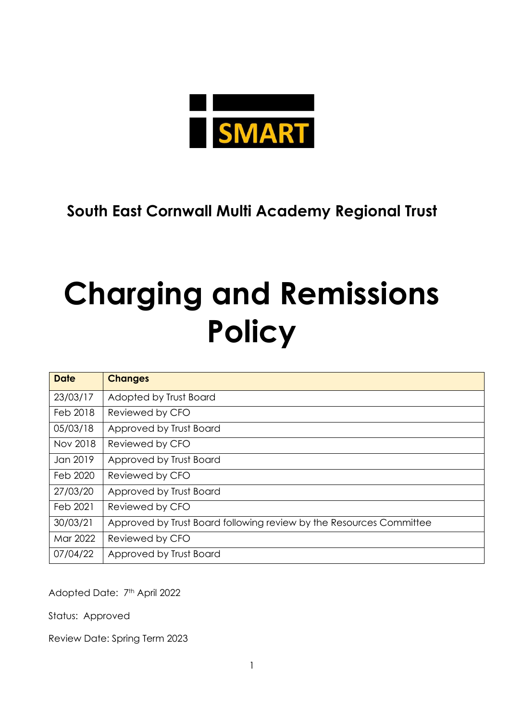

**South East Cornwall Multi Academy Regional Trust**

# **Charging and Remissions Policy**

| <b>Date</b> | <b>Changes</b>                                                      |
|-------------|---------------------------------------------------------------------|
| 23/03/17    | Adopted by Trust Board                                              |
| Feb 2018    | Reviewed by CFO                                                     |
| 05/03/18    | Approved by Trust Board                                             |
| Nov 2018    | Reviewed by CFO                                                     |
| Jan 2019    | Approved by Trust Board                                             |
| Feb 2020    | Reviewed by CFO                                                     |
| 27/03/20    | Approved by Trust Board                                             |
| Feb 2021    | Reviewed by CFO                                                     |
| 30/03/21    | Approved by Trust Board following review by the Resources Committee |
| Mar 2022    | Reviewed by CFO                                                     |
| 07/04/22    | Approved by Trust Board                                             |

Adopted Date: 7th April 2022

Status: Approved

Review Date: Spring Term 2023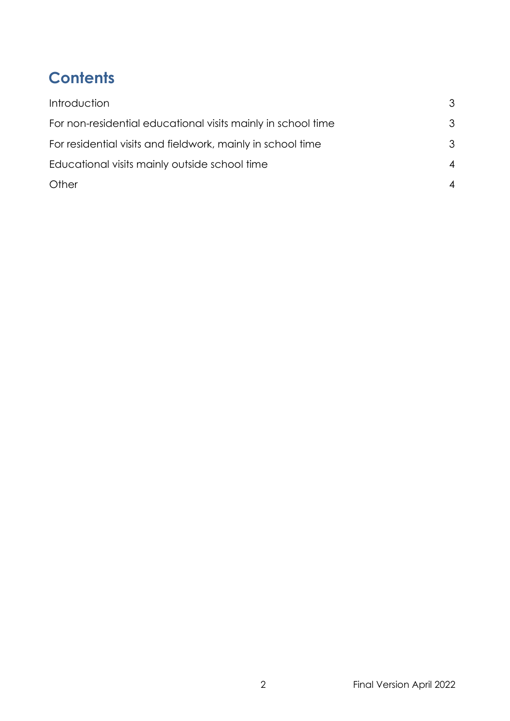# **Contents**

| Introduction                                                 | 3                        |
|--------------------------------------------------------------|--------------------------|
| For non-residential educational visits mainly in school time | 3                        |
| For residential visits and fieldwork, mainly in school time  | 3                        |
| Educational visits mainly outside school time                | $\boldsymbol{\varDelta}$ |
| Other                                                        |                          |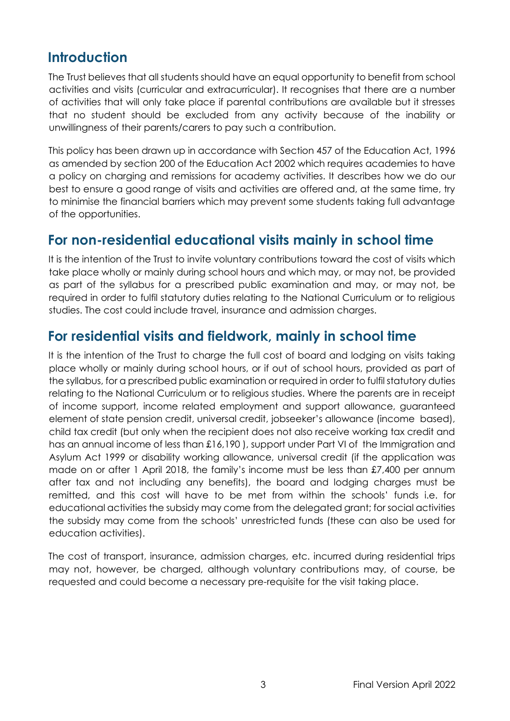# <span id="page-2-0"></span>**Introduction**

The Trust believes that all students should have an equal opportunity to benefit from school activities and visits (curricular and extracurricular). It recognises that there are a number of activities that will only take place if parental contributions are available but it stresses that no student should be excluded from any activity because of the inability or unwillingness of their parents/carers to pay such a contribution.

This policy has been drawn up in accordance with Section 457 of the Education Act, 1996 as amended by section 200 of the Education Act 2002 which requires academies to have a policy on charging and remissions for academy activities. It describes how we do our best to ensure a good range of visits and activities are offered and, at the same time, try to minimise the financial barriers which may prevent some students taking full advantage of the opportunities.

#### <span id="page-2-1"></span>**For non-residential educational visits mainly in school time**

It is the intention of the Trust to invite voluntary contributions toward the cost of visits which take place wholly or mainly during school hours and which may, or may not, be provided as part of the syllabus for a prescribed public examination and may, or may not, be required in order to fulfil statutory duties relating to the National Curriculum or to religious studies. The cost could include travel, insurance and admission charges.

#### <span id="page-2-2"></span>**For residential visits and fieldwork, mainly in school time**

It is the intention of the Trust to charge the full cost of board and lodging on visits taking place wholly or mainly during school hours, or if out of school hours, provided as part of the syllabus, for a prescribed public examination or required in order to fulfil statutory duties relating to the National Curriculum or to religious studies. Where the parents are in receipt of income support, income related employment and support allowance, guaranteed element of state pension credit, universal credit, jobseeker's allowance (income based), child tax credit (but only when the recipient does not also receive working tax credit and has an annual income of less than £16,190), support under Part VI of the Immigration and Asylum Act 1999 or disability working allowance, universal credit (if the application was made on or after 1 April 2018, the family's income must be less than £7,400 per annum after tax and not including any benefits), the board and lodging charges must be remitted, and this cost will have to be met from within the schools' funds i.e. for educational activities the subsidy may come from the delegated grant; for social activities the subsidy may come from the schools' unrestricted funds (these can also be used for education activities).

The cost of transport, insurance, admission charges, etc. incurred during residential trips may not, however, be charged, although voluntary contributions may, of course, be requested and could become a necessary pre-requisite for the visit taking place.